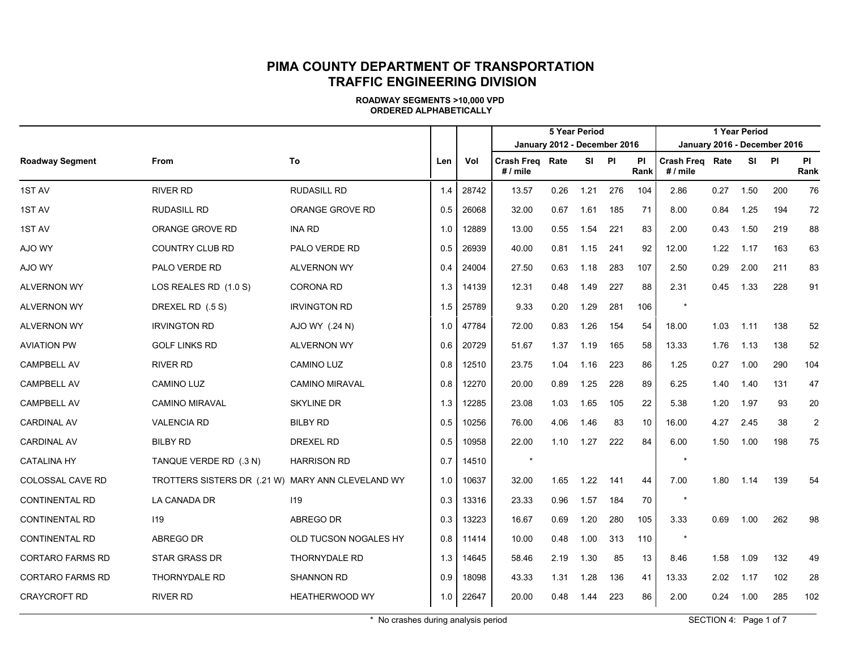|                         |                                                   |                       |     |       |                              |      | <b>5 Year Period</b> |     | 1 Year Period     |                               |      |       |                              |                   |  |
|-------------------------|---------------------------------------------------|-----------------------|-----|-------|------------------------------|------|----------------------|-----|-------------------|-------------------------------|------|-------|------------------------------|-------------------|--|
|                         |                                                   |                       |     |       | January 2012 - December 2016 |      |                      |     |                   |                               |      |       | January 2016 - December 2016 |                   |  |
| <b>Roadway Segment</b>  | <b>From</b>                                       | To                    | Len | Vol   | Crash Freg Rate<br># / mile  |      | SI PI                |     | <b>PI</b><br>Rank | Crash Freg Rate<br>$# /$ mile |      | SI PI |                              | <b>PI</b><br>Rank |  |
| 1ST AV                  | <b>RIVER RD</b>                                   | <b>RUDASILL RD</b>    | 1.4 | 28742 | 13.57                        | 0.26 | 1.21                 | 276 | 104               | 2.86                          | 0.27 | 1.50  | 200                          | 76                |  |
| 1ST AV                  | <b>RUDASILL RD</b>                                | ORANGE GROVE RD       | 0.5 | 26068 | 32.00                        | 0.67 | 1.61                 | 185 | 71                | 8.00                          | 0.84 | 1.25  | 194                          | 72                |  |
| 1ST AV                  | ORANGE GROVE RD                                   | <b>INA RD</b>         | 1.0 | 12889 | 13.00                        | 0.55 | 1.54                 | 221 | 83                | 2.00                          | 0.43 | 1.50  | 219                          | 88                |  |
| AJO WY                  | <b>COUNTRY CLUB RD</b>                            | PALO VERDE RD         | 0.5 | 26939 | 40.00                        | 0.81 | 1.15                 | 241 | 92                | 12.00                         | 1.22 | 1.17  | 163                          | 63                |  |
| AJO WY                  | PALO VERDE RD                                     | <b>ALVERNON WY</b>    | 0.4 | 24004 | 27.50                        | 0.63 | 1.18                 | 283 | 107               | 2.50                          | 0.29 | 2.00  | 211                          | 83                |  |
| <b>ALVERNON WY</b>      | LOS REALES RD (1.0 S)                             | CORONA RD             | 1.3 | 14139 | 12.31                        | 0.48 | 1.49                 | 227 | 88                | 2.31                          | 0.45 | 1.33  | 228                          | 91                |  |
| <b>ALVERNON WY</b>      | DREXEL RD (.5 S)                                  | <b>IRVINGTON RD</b>   | 1.5 | 25789 | 9.33                         | 0.20 | 1.29                 | 281 | 106               |                               |      |       |                              |                   |  |
| <b>ALVERNON WY</b>      | <b>IRVINGTON RD</b>                               | AJO WY (.24 N)        | 1.0 | 47784 | 72.00                        | 0.83 | 1.26                 | 154 | 54                | 18.00                         | 1.03 | 1.11  | 138                          | 52                |  |
| <b>AVIATION PW</b>      | <b>GOLF LINKS RD</b>                              | <b>ALVERNON WY</b>    | 0.6 | 20729 | 51.67                        | 1.37 | 1.19                 | 165 | 58                | 13.33                         | 1.76 | 1.13  | 138                          | 52                |  |
| <b>CAMPBELL AV</b>      | <b>RIVER RD</b>                                   | <b>CAMINO LUZ</b>     | 0.8 | 12510 | 23.75                        | 1.04 | 1.16                 | 223 | 86                | 1.25                          | 0.27 | 1.00  | 290                          | 104               |  |
| <b>CAMPBELL AV</b>      | <b>CAMINO LUZ</b>                                 | <b>CAMINO MIRAVAL</b> | 0.8 | 12270 | 20.00                        | 0.89 | 1.25                 | 228 | 89                | 6.25                          | 1.40 | 1.40  | 131                          | 47                |  |
| <b>CAMPBELL AV</b>      | CAMINO MIRAVAL                                    | SKYLINE DR            | 1.3 | 12285 | 23.08                        | 1.03 | 1.65                 | 105 | 22                | 5.38                          | 1.20 | 1.97  | 93                           | 20                |  |
| <b>CARDINAL AV</b>      | <b>VALENCIA RD</b>                                | <b>BILBY RD</b>       | 0.5 | 10256 | 76.00                        | 4.06 | 1.46                 | 83  | 10                | 16.00                         | 4.27 | 2.45  | 38                           | $\overline{2}$    |  |
| <b>CARDINAL AV</b>      | <b>BILBY RD</b>                                   | <b>DREXEL RD</b>      | 0.5 | 10958 | 22.00                        | 1.10 | 1.27                 | 222 | 84                | 6.00                          | 1.50 | 1.00  | 198                          | 75                |  |
| <b>CATALINA HY</b>      | TANQUE VERDE RD (.3 N)                            | <b>HARRISON RD</b>    | 0.7 | 14510 | $\star$                      |      |                      |     |                   | $\star$                       |      |       |                              |                   |  |
| COLOSSAL CAVE RD        | TROTTERS SISTERS DR (.21 W) MARY ANN CLEVELAND WY |                       | 1.0 | 10637 | 32.00                        | 1.65 | 1.22                 | 141 | 44                | 7.00                          | 1.80 | 1.14  | 139                          | 54                |  |
| <b>CONTINENTAL RD</b>   | LA CANADA DR                                      | 119                   | 0.3 | 13316 | 23.33                        | 0.96 | 1.57                 | 184 | 70                | $\star$                       |      |       |                              |                   |  |
| <b>CONTINENTAL RD</b>   | 119                                               | ABREGO DR             | 0.3 | 13223 | 16.67                        | 0.69 | 1.20                 | 280 | 105               | 3.33                          | 0.69 | 1.00  | 262                          | 98                |  |
| <b>CONTINENTAL RD</b>   | ABREGO DR                                         | OLD TUCSON NOGALES HY | 0.8 | 11414 | 10.00                        | 0.48 | 1.00                 | 313 | 110               | $\star$                       |      |       |                              |                   |  |
| CORTARO FARMS RD        | <b>STAR GRASS DR</b>                              | <b>THORNYDALE RD</b>  | 1.3 | 14645 | 58.46                        | 2.19 | 1.30                 | 85  | 13                | 8.46                          | 1.58 | 1.09  | 132                          | 49                |  |
| <b>CORTARO FARMS RD</b> | <b>THORNYDALE RD</b>                              | <b>SHANNON RD</b>     | 0.9 | 18098 | 43.33                        | 1.31 | 1.28                 | 136 | 41                | 13.33                         | 2.02 | 1.17  | 102                          | 28                |  |
| <b>CRAYCROFT RD</b>     | <b>RIVER RD</b>                                   | <b>HEATHERWOOD WY</b> | 1.0 | 22647 | 20.00                        | 0.48 | 1.44                 | 223 | 86                | 2.00                          | 0.24 | 1.00  | 285                          | 102               |  |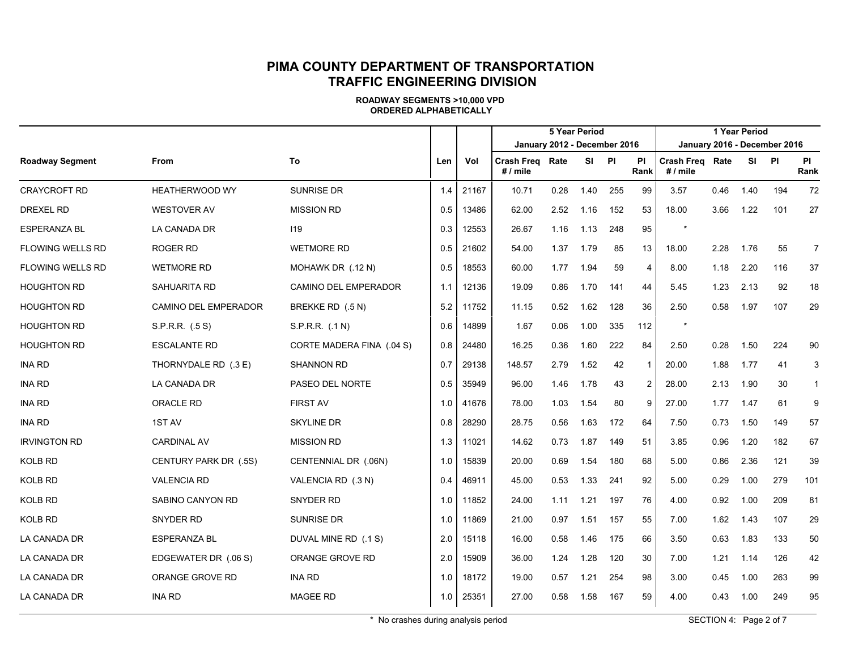|                         |                       |                           |     |       |                               |      | <b>5 Year Period</b> |     |                |                             |      | 1 Year Period |                              |                |
|-------------------------|-----------------------|---------------------------|-----|-------|-------------------------------|------|----------------------|-----|----------------|-----------------------------|------|---------------|------------------------------|----------------|
|                         |                       |                           |     |       | January 2012 - December 2016  |      |                      |     |                |                             |      |               | January 2016 - December 2016 |                |
| <b>Roadway Segment</b>  | From                  | To                        | Len | Vol   | <b>Crash Freg</b><br># / mile | Rate | SI PI                |     | ΡI<br>Rank     | Crash Freg Rate<br># / mile |      | SI.           | <b>PI</b>                    | PI<br>Rank     |
| <b>CRAYCROFT RD</b>     | HEATHERWOOD WY        | SUNRISE DR                | 1.4 | 21167 | 10.71                         | 0.28 | 1.40                 | 255 | 99             | 3.57                        | 0.46 | 1.40          | 194                          | 72             |
| DREXEL RD               | <b>WESTOVER AV</b>    | <b>MISSION RD</b>         | 0.5 | 13486 | 62.00                         | 2.52 | 1.16                 | 152 | 53             | 18.00                       | 3.66 | 1.22          | 101                          | 27             |
| <b>ESPERANZA BL</b>     | LA CANADA DR          | 119                       | 0.3 | 12553 | 26.67                         | 1.16 | 1.13                 | 248 | 95             | $\star$                     |      |               |                              |                |
| <b>FLOWING WELLS RD</b> | ROGER RD              | <b>WETMORE RD</b>         | 0.5 | 21602 | 54.00                         | 1.37 | 1.79                 | 85  | 13             | 18.00                       | 2.28 | 1.76          | 55                           | $\overline{7}$ |
| <b>FLOWING WELLS RD</b> | <b>WETMORE RD</b>     | MOHAWK DR (.12 N)         | 0.5 | 18553 | 60.00                         | 1.77 | 1.94                 | 59  | 4              | 8.00                        | 1.18 | 2.20          | 116                          | 37             |
| <b>HOUGHTON RD</b>      | SAHUARITA RD          | CAMINO DEL EMPERADOR      | 1.1 | 12136 | 19.09                         | 0.86 | 1.70                 | 141 | 44             | 5.45                        | 1.23 | 2.13          | 92                           | 18             |
| <b>HOUGHTON RD</b>      | CAMINO DEL EMPERADOR  | BREKKE RD (.5 N)          | 5.2 | 11752 | 11.15                         | 0.52 | 1.62                 | 128 | 36             | 2.50                        | 0.58 | 1.97          | 107                          | 29             |
| <b>HOUGHTON RD</b>      | S.P.R.R. (.5 S)       | S.P.R.R. (.1N)            | 0.6 | 14899 | 1.67                          | 0.06 | 1.00                 | 335 | 112            | $\star$                     |      |               |                              |                |
| <b>HOUGHTON RD</b>      | <b>ESCALANTE RD</b>   | CORTE MADERA FINA (.04 S) | 0.8 | 24480 | 16.25                         | 0.36 | 1.60                 | 222 | 84             | 2.50                        | 0.28 | 1.50          | 224                          | 90             |
| <b>INA RD</b>           | THORNYDALE RD (.3 E)  | <b>SHANNON RD</b>         | 0.7 | 29138 | 148.57                        | 2.79 | 1.52                 | 42  | -1             | 20.00                       | 1.88 | 1.77          | 41                           | 3              |
| <b>INA RD</b>           | LA CANADA DR          | PASEO DEL NORTE           | 0.5 | 35949 | 96.00                         | 1.46 | 1.78                 | 43  | $\overline{2}$ | 28.00                       | 2.13 | 1.90          | 30                           | $\mathbf{1}$   |
| <b>INA RD</b>           | ORACLE RD             | <b>FIRST AV</b>           | 1.0 | 41676 | 78.00                         | 1.03 | 1.54                 | 80  | 9              | 27.00                       | 1.77 | 1.47          | 61                           | 9              |
| <b>INA RD</b>           | 1ST AV                | <b>SKYLINE DR</b>         | 0.8 | 28290 | 28.75                         | 0.56 | 1.63                 | 172 | 64             | 7.50                        | 0.73 | 1.50          | 149                          | 57             |
| <b>IRVINGTON RD</b>     | <b>CARDINAL AV</b>    | <b>MISSION RD</b>         | 1.3 | 11021 | 14.62                         | 0.73 | 1.87                 | 149 | 51             | 3.85                        | 0.96 | 1.20          | 182                          | 67             |
| <b>KOLB RD</b>          | CENTURY PARK DR (.5S) | CENTENNIAL DR (.06N)      | 1.0 | 15839 | 20.00                         | 0.69 | 1.54                 | 180 | 68             | 5.00                        | 0.86 | 2.36          | 121                          | 39             |
| <b>KOLB RD</b>          | <b>VALENCIA RD</b>    | VALENCIA RD (.3 N)        | 0.4 | 46911 | 45.00                         | 0.53 | 1.33                 | 241 | 92             | 5.00                        | 0.29 | 1.00          | 279                          | 101            |
| KOLB RD                 | SABINO CANYON RD      | SNYDER RD                 | 1.0 | 11852 | 24.00                         | 1.11 | 1.21                 | 197 | 76             | 4.00                        | 0.92 | 1.00          | 209                          | 81             |
| <b>KOLB RD</b>          | SNYDER RD             | SUNRISE DR                | 1.0 | 11869 | 21.00                         | 0.97 | 1.51                 | 157 | 55             | 7.00                        | 1.62 | 1.43          | 107                          | 29             |
| LA CANADA DR            | <b>ESPERANZA BL</b>   | DUVAL MINE RD (.1 S)      | 2.0 | 15118 | 16.00                         | 0.58 | 1.46                 | 175 | 66             | 3.50                        | 0.63 | 1.83          | 133                          | 50             |
| LA CANADA DR            | EDGEWATER DR (.06 S)  | ORANGE GROVE RD           | 2.0 | 15909 | 36.00                         | 1.24 | 1.28                 | 120 | 30             | 7.00                        | 1.21 | 1.14          | 126                          | 42             |
| LA CANADA DR            | ORANGE GROVE RD       | INA RD                    | 1.0 | 18172 | 19.00                         | 0.57 | 1.21                 | 254 | 98             | 3.00                        | 0.45 | 1.00          | 263                          | 99             |
| LA CANADA DR            | <b>INA RD</b>         | <b>MAGEE RD</b>           | 1.0 | 25351 | 27.00                         | 0.58 | 1.58                 | 167 | 59             | 4.00                        | 0.43 | 1.00          | 249                          | 95             |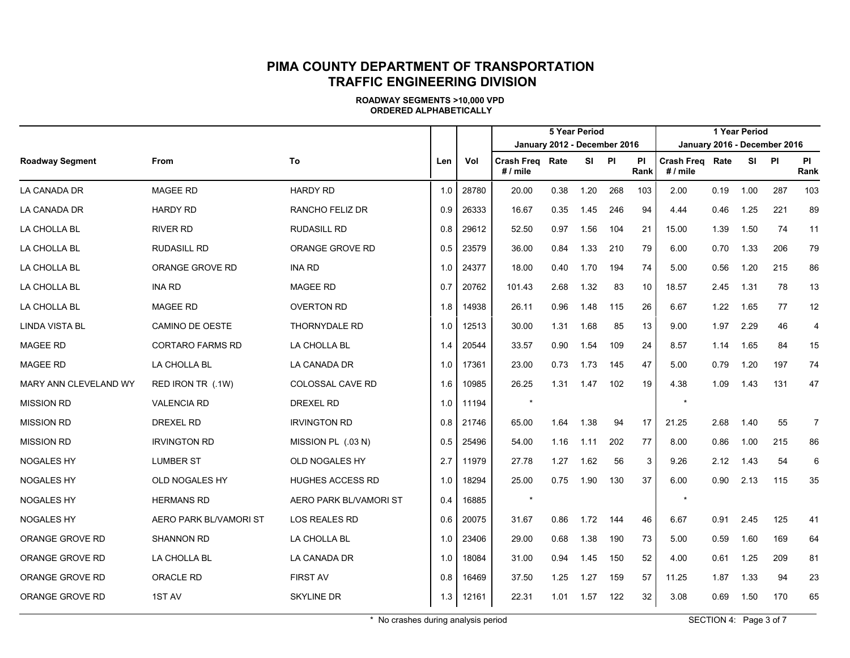|                        |                         |                         |     |       |                              |      | <b>5 Year Period</b> |     |                   |                                      |      | 1 Year Period |                              |                |
|------------------------|-------------------------|-------------------------|-----|-------|------------------------------|------|----------------------|-----|-------------------|--------------------------------------|------|---------------|------------------------------|----------------|
|                        |                         |                         |     |       | January 2012 - December 2016 |      |                      |     |                   |                                      |      |               | January 2016 - December 2016 |                |
| <b>Roadway Segment</b> | <b>From</b>             | To                      | Len | Vol   | Crash Freq Rate<br># / mile  |      | SI                   | PI  | <b>PI</b><br>Rank | <b>Crash Freg Rate</b><br>$# /$ mile |      |               | SI PI                        | PI<br>Rank     |
| LA CANADA DR           | <b>MAGEE RD</b>         | <b>HARDY RD</b>         | 1.0 | 28780 | 20.00                        | 0.38 | 1.20                 | 268 | 103               | 2.00                                 | 0.19 | 1.00          | 287                          | 103            |
| LA CANADA DR           | <b>HARDY RD</b>         | RANCHO FELIZ DR         | 0.9 | 26333 | 16.67                        | 0.35 | 1.45                 | 246 | 94                | 4.44                                 | 0.46 | 1.25          | 221                          | 89             |
| LA CHOLLA BL           | <b>RIVER RD</b>         | <b>RUDASILL RD</b>      | 0.8 | 29612 | 52.50                        | 0.97 | 1.56                 | 104 | 21                | 15.00                                | 1.39 | 1.50          | 74                           | 11             |
| LA CHOLLA BL           | <b>RUDASILL RD</b>      | ORANGE GROVE RD         | 0.5 | 23579 | 36.00                        | 0.84 | 1.33                 | 210 | 79                | 6.00                                 | 0.70 | 1.33          | 206                          | 79             |
| LA CHOLLA BL           | ORANGE GROVE RD         | <b>INA RD</b>           | 1.0 | 24377 | 18.00                        | 0.40 | 1.70                 | 194 | 74                | 5.00                                 | 0.56 | 1.20          | 215                          | 86             |
| LA CHOLLA BL           | <b>INA RD</b>           | <b>MAGEE RD</b>         | 0.7 | 20762 | 101.43                       | 2.68 | 1.32                 | 83  | 10                | 18.57                                | 2.45 | 1.31          | 78                           | 13             |
| LA CHOLLA BL           | <b>MAGEE RD</b>         | <b>OVERTON RD</b>       | 1.8 | 14938 | 26.11                        | 0.96 | 1.48                 | 115 | 26                | 6.67                                 | 1.22 | 1.65          | 77                           | 12             |
| <b>LINDA VISTA BL</b>  | <b>CAMINO DE OESTE</b>  | <b>THORNYDALE RD</b>    | 1.0 | 12513 | 30.00                        | 1.31 | 1.68                 | 85  | 13                | 9.00                                 | 1.97 | 2.29          | 46                           | $\overline{4}$ |
| <b>MAGEE RD</b>        | <b>CORTARO FARMS RD</b> | LA CHOLLA BL            | 1.4 | 20544 | 33.57                        | 0.90 | 1.54                 | 109 | 24                | 8.57                                 | 1.14 | 1.65          | 84                           | 15             |
| <b>MAGEE RD</b>        | LA CHOLLA BL            | LA CANADA DR            | 1.0 | 17361 | 23.00                        | 0.73 | 1.73                 | 145 | 47                | 5.00                                 | 0.79 | 1.20          | 197                          | 74             |
| MARY ANN CLEVELAND WY  | RED IRON TR (.1W)       | COLOSSAL CAVE RD        | 1.6 | 10985 | 26.25                        | 1.31 | 1.47                 | 102 | 19                | 4.38                                 | 1.09 | 1.43          | 131                          | 47             |
| <b>MISSION RD</b>      | <b>VALENCIA RD</b>      | <b>DREXEL RD</b>        | 1.0 | 11194 |                              |      |                      |     |                   |                                      |      |               |                              |                |
| <b>MISSION RD</b>      | <b>DREXEL RD</b>        | <b>IRVINGTON RD</b>     | 0.8 | 21746 | 65.00                        | 1.64 | 1.38                 | 94  | 17                | 21.25                                | 2.68 | 1.40          | 55                           | $\overline{7}$ |
| <b>MISSION RD</b>      | <b>IRVINGTON RD</b>     | MISSION PL (.03 N)      | 0.5 | 25496 | 54.00                        | 1.16 | 1.11                 | 202 | 77                | 8.00                                 | 0.86 | 1.00          | 215                          | 86             |
| <b>NOGALES HY</b>      | <b>LUMBER ST</b>        | OLD NOGALES HY          | 2.7 | 11979 | 27.78                        | 1.27 | 1.62                 | 56  | 3                 | 9.26                                 | 2.12 | 1.43          | 54                           | 6              |
| <b>NOGALES HY</b>      | <b>OLD NOGALES HY</b>   | <b>HUGHES ACCESS RD</b> | 1.0 | 18294 | 25.00                        | 0.75 | 1.90                 | 130 | 37                | 6.00                                 | 0.90 | 2.13          | 115                          | 35             |
| NOGALES HY             | <b>HERMANS RD</b>       | AERO PARK BL/VAMORI ST  | 0.4 | 16885 | $\star$                      |      |                      |     |                   | $\star$                              |      |               |                              |                |
| <b>NOGALES HY</b>      | AERO PARK BL/VAMORI ST  | <b>LOS REALES RD</b>    | 0.6 | 20075 | 31.67                        | 0.86 | 1.72                 | 144 | 46                | 6.67                                 | 0.91 | 2.45          | 125                          | 41             |
| ORANGE GROVE RD        | <b>SHANNON RD</b>       | LA CHOLLA BL            | 1.0 | 23406 | 29.00                        | 0.68 | 1.38                 | 190 | 73                | 5.00                                 | 0.59 | 1.60          | 169                          | 64             |
| ORANGE GROVE RD        | LA CHOLLA BL            | LA CANADA DR            | 1.0 | 18084 | 31.00                        | 0.94 | 1.45                 | 150 | 52                | 4.00                                 | 0.61 | 1.25          | 209                          | 81             |
| ORANGE GROVE RD        | <b>ORACLE RD</b>        | <b>FIRST AV</b>         | 0.8 | 16469 | 37.50                        | 1.25 | 1.27                 | 159 | 57                | 11.25                                | 1.87 | 1.33          | 94                           | 23             |
| ORANGE GROVE RD        | 1ST AV                  | <b>SKYLINE DR</b>       | 1.3 | 12161 | 22.31                        | 1.01 | 1.57                 | 122 | 32                | 3.08                                 | 0.69 | 1.50          | 170                          | 65             |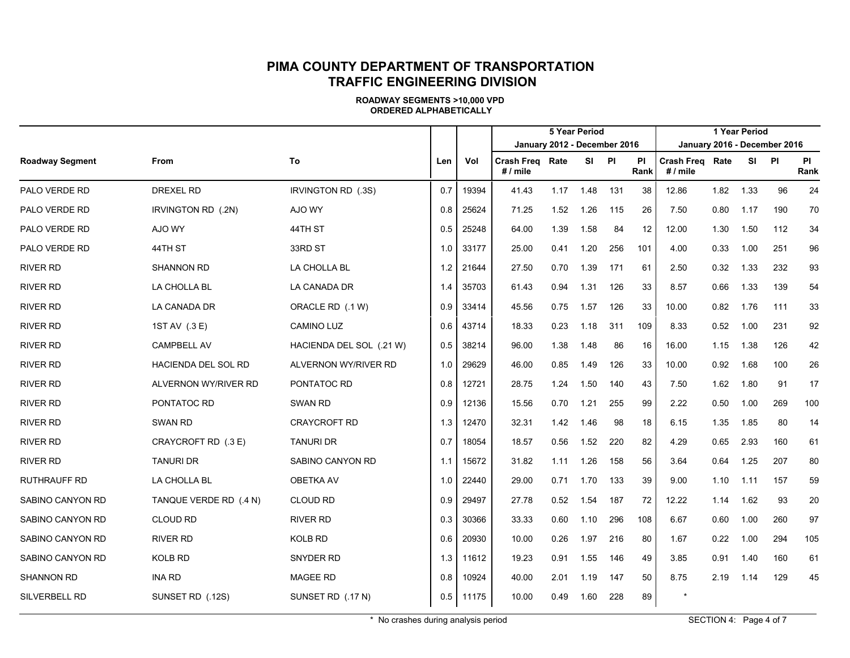|                        |                        |                          |     |       |                                    |      | <b>5 Year Period</b> |     |                   |                              |      | 1 Year Period |     |                   |
|------------------------|------------------------|--------------------------|-----|-------|------------------------------------|------|----------------------|-----|-------------------|------------------------------|------|---------------|-----|-------------------|
|                        |                        |                          |     |       | January 2012 - December 2016       |      |                      |     |                   | January 2016 - December 2016 |      |               |     |                   |
| <b>Roadway Segment</b> | From                   | To                       | Len | Vol   | <b>Crash Freg Rate</b><br># / mile |      | SI                   | PI  | <b>PI</b><br>Rank | Crash Freg Rate<br># / mile  |      | SI PI         |     | <b>PI</b><br>Rank |
| PALO VERDE RD          | <b>DREXEL RD</b>       | IRVINGTON RD (.3S)       | 0.7 | 19394 | 41.43                              | 1.17 | 1.48                 | 131 | 38                | 12.86                        | 1.82 | 1.33          | 96  | 24                |
| PALO VERDE RD          | IRVINGTON RD (.2N)     | AJO WY                   | 0.8 | 25624 | 71.25                              | 1.52 | 1.26                 | 115 | 26                | 7.50                         | 0.80 | 1.17          | 190 | 70                |
| PALO VERDE RD          | AJO WY                 | 44TH ST                  | 0.5 | 25248 | 64.00                              | 1.39 | 1.58                 | 84  | 12                | 12.00                        | 1.30 | 1.50          | 112 | 34                |
| PALO VERDE RD          | 44TH ST                | 33RD ST                  | 1.0 | 33177 | 25.00                              | 0.41 | 1.20                 | 256 | 101               | 4.00                         | 0.33 | 1.00          | 251 | 96                |
| <b>RIVER RD</b>        | <b>SHANNON RD</b>      | LA CHOLLA BL             | 1.2 | 21644 | 27.50                              | 0.70 | 1.39                 | 171 | 61                | 2.50                         | 0.32 | 1.33          | 232 | 93                |
| <b>RIVER RD</b>        | LA CHOLLA BL           | LA CANADA DR             | 1.4 | 35703 | 61.43                              | 0.94 | 1.31                 | 126 | 33                | 8.57                         | 0.66 | 1.33          | 139 | 54                |
| <b>RIVER RD</b>        | LA CANADA DR           | ORACLE RD (.1 W)         | 0.9 | 33414 | 45.56                              | 0.75 | 1.57                 | 126 | 33                | 10.00                        | 0.82 | 1.76          | 111 | 33                |
| <b>RIVER RD</b>        | 1ST AV (.3 E)          | <b>CAMINO LUZ</b>        | 0.6 | 43714 | 18.33                              | 0.23 | 1.18                 | 311 | 109               | 8.33                         | 0.52 | 1.00          | 231 | 92                |
| <b>RIVER RD</b>        | <b>CAMPBELL AV</b>     | HACIENDA DEL SOL (.21 W) | 0.5 | 38214 | 96.00                              | 1.38 | 1.48                 | 86  | 16                | 16.00                        | 1.15 | 1.38          | 126 | 42                |
| <b>RIVER RD</b>        | HACIENDA DEL SOL RD    | ALVERNON WY/RIVER RD     | 1.0 | 29629 | 46.00                              | 0.85 | 1.49                 | 126 | 33                | 10.00                        | 0.92 | 1.68          | 100 | 26                |
| <b>RIVER RD</b>        | ALVERNON WY/RIVER RD   | PONTATOC RD              | 0.8 | 12721 | 28.75                              | 1.24 | 1.50                 | 140 | 43                | 7.50                         | 1.62 | 1.80          | 91  | 17                |
| <b>RIVER RD</b>        | PONTATOC RD            | SWAN RD                  | 0.9 | 12136 | 15.56                              | 0.70 | 1.21                 | 255 | 99                | 2.22                         | 0.50 | 1.00          | 269 | 100               |
| <b>RIVER RD</b>        | <b>SWAN RD</b>         | <b>CRAYCROFT RD</b>      | 1.3 | 12470 | 32.31                              | 1.42 | 1.46                 | 98  | 18                | 6.15                         | 1.35 | 1.85          | 80  | 14                |
| <b>RIVER RD</b>        | CRAYCROFT RD (.3 E)    | <b>TANURI DR</b>         | 0.7 | 18054 | 18.57                              | 0.56 | 1.52                 | 220 | 82                | 4.29                         | 0.65 | 2.93          | 160 | 61                |
| <b>RIVER RD</b>        | <b>TANURI DR</b>       | SABINO CANYON RD         | 1.1 | 15672 | 31.82                              | 1.11 | 1.26                 | 158 | 56                | 3.64                         | 0.64 | 1.25          | 207 | 80                |
| <b>RUTHRAUFF RD</b>    | LA CHOLLA BL           | <b>OBETKA AV</b>         | 1.0 | 22440 | 29.00                              | 0.71 | 1.70                 | 133 | 39                | 9.00                         | 1.10 | 1.11          | 157 | 59                |
| SABINO CANYON RD       | TANQUE VERDE RD (.4 N) | <b>CLOUD RD</b>          | 0.9 | 29497 | 27.78                              | 0.52 | 1.54                 | 187 | 72                | 12.22                        | 1.14 | 1.62          | 93  | 20                |
| SABINO CANYON RD       | <b>CLOUD RD</b>        | RIVER RD                 | 0.3 | 30366 | 33.33                              | 0.60 | 1.10                 | 296 | 108               | 6.67                         | 0.60 | 1.00          | 260 | 97                |
| SABINO CANYON RD       | <b>RIVER RD</b>        | KOLB RD                  | 0.6 | 20930 | 10.00                              | 0.26 | 1.97                 | 216 | 80                | 1.67                         | 0.22 | 1.00          | 294 | 105               |
| SABINO CANYON RD       | <b>KOLB RD</b>         | <b>SNYDER RD</b>         | 1.3 | 11612 | 19.23                              | 0.91 | 1.55                 | 146 | 49                | 3.85                         | 0.91 | 1.40          | 160 | 61                |
| <b>SHANNON RD</b>      | <b>INA RD</b>          | <b>MAGEE RD</b>          | 0.8 | 10924 | 40.00                              | 2.01 | 1.19                 | 147 | 50                | 8.75                         | 2.19 | 1.14          | 129 | 45                |
| SILVERBELL RD          | SUNSET RD (.12S)       | SUNSET RD (.17 N)        | 0.5 | 11175 | 10.00                              | 0.49 | 1.60                 | 228 | 89                |                              |      |               |     |                   |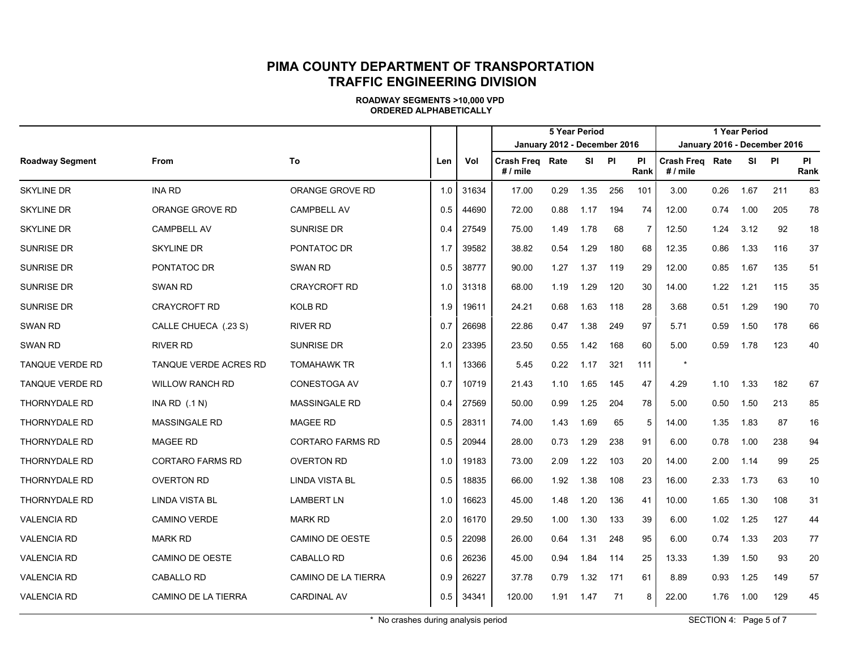**ROADWAY SEGMENTS >10,000 VPD ORDERED ALPHABETICALLY**

|                        |                         |                      |     |       |                                           |      | <b>5 Year Period</b> |           |                   |                                    |      | 1 Year Period |                              |                   |
|------------------------|-------------------------|----------------------|-----|-------|-------------------------------------------|------|----------------------|-----------|-------------------|------------------------------------|------|---------------|------------------------------|-------------------|
|                        |                         |                      |     |       | January 2012 - December 2016              |      |                      |           |                   |                                    |      |               | January 2016 - December 2016 |                   |
| <b>Roadway Segment</b> | <b>From</b>             | To                   | Len | Vol   | <b>Crash Freg Rate</b><br># $\prime$ mile |      | <b>SI</b>            | <b>PI</b> | <b>PI</b><br>Rank | <b>Crash Freg Rate</b><br># / mile |      |               | SI PI                        | <b>PI</b><br>Rank |
| <b>SKYLINE DR</b>      | <b>INA RD</b>           | ORANGE GROVE RD      | 1.0 | 31634 | 17.00                                     | 0.29 | 1.35                 | 256       | 101               | 3.00                               | 0.26 | 1.67          | 211                          | 83                |
| <b>SKYLINE DR</b>      | ORANGE GROVE RD         | <b>CAMPBELL AV</b>   | 0.5 | 44690 | 72.00                                     | 0.88 | 1.17                 | 194       | 74                | 12.00                              | 0.74 | 1.00          | 205                          | 78                |
| <b>SKYLINE DR</b>      | <b>CAMPBELL AV</b>      | <b>SUNRISE DR</b>    | 0.4 | 27549 | 75.00                                     | 1.49 | 1.78                 | 68        | 7                 | 12.50                              | 1.24 | 3.12          | 92                           | 18                |
| <b>SUNRISE DR</b>      | <b>SKYLINE DR</b>       | PONTATOC DR          | 1.7 | 39582 | 38.82                                     | 0.54 | 1.29                 | 180       | 68                | 12.35                              | 0.86 | 1.33          | 116                          | 37                |
| <b>SUNRISE DR</b>      | PONTATOC DR             | <b>SWAN RD</b>       | 0.5 | 38777 | 90.00                                     | 1.27 | 1.37                 | 119       | 29                | 12.00                              | 0.85 | 1.67          | 135                          | 51                |
| <b>SUNRISE DR</b>      | <b>SWAN RD</b>          | <b>CRAYCROFT RD</b>  | 1.0 | 31318 | 68.00                                     | 1.19 | 1.29                 | 120       | 30                | 14.00                              | 1.22 | 1.21          | 115                          | 35                |
| <b>SUNRISE DR</b>      | <b>CRAYCROFT RD</b>     | <b>KOLB RD</b>       | 1.9 | 19611 | 24.21                                     | 0.68 | 1.63                 | 118       | 28                | 3.68                               | 0.51 | 1.29          | 190                          | 70                |
| <b>SWAN RD</b>         | CALLE CHUECA (.23 S)    | <b>RIVER RD</b>      | 0.7 | 26698 | 22.86                                     | 0.47 | 1.38                 | 249       | 97                | 5.71                               | 0.59 | 1.50          | 178                          | 66                |
| <b>SWAN RD</b>         | <b>RIVER RD</b>         | <b>SUNRISE DR</b>    | 2.0 | 23395 | 23.50                                     | 0.55 | 1.42                 | 168       | 60                | 5.00                               | 0.59 | 1.78          | 123                          | 40                |
| <b>TANQUE VERDE RD</b> | TANQUE VERDE ACRES RD   | <b>TOMAHAWK TR</b>   | 1.1 | 13366 | 5.45                                      | 0.22 | 1.17                 | 321       | 111               |                                    |      |               |                              |                   |
| <b>TANQUE VERDE RD</b> | <b>WILLOW RANCH RD</b>  | <b>CONESTOGA AV</b>  | 0.7 | 10719 | 21.43                                     | 1.10 | 1.65                 | 145       | 47                | 4.29                               | 1.10 | 1.33          | 182                          | 67                |
| <b>THORNYDALE RD</b>   | INA RD $( .1 N )$       | <b>MASSINGALE RD</b> | 0.4 | 27569 | 50.00                                     | 0.99 | 1.25                 | 204       | 78                | 5.00                               | 0.50 | 1.50          | 213                          | 85                |
| <b>THORNYDALE RD</b>   | <b>MASSINGALE RD</b>    | <b>MAGEE RD</b>      | 0.5 | 28311 | 74.00                                     | 1.43 | 1.69                 | 65        | 5                 | 14.00                              | 1.35 | 1.83          | 87                           | 16                |
| <b>THORNYDALE RD</b>   | <b>MAGEE RD</b>         | CORTARO FARMS RD     | 0.5 | 20944 | 28.00                                     | 0.73 | 1.29                 | 238       | 91                | 6.00                               | 0.78 | 1.00          | 238                          | 94                |
| <b>THORNYDALE RD</b>   | <b>CORTARO FARMS RD</b> | <b>OVERTON RD</b>    | 1.0 | 19183 | 73.00                                     | 2.09 | 1.22                 | 103       | 20                | 14.00                              | 2.00 | 1.14          | 99                           | 25                |
| <b>THORNYDALE RD</b>   | <b>OVERTON RD</b>       | LINDA VISTA BL       | 0.5 | 18835 | 66.00                                     | 1.92 | 1.38                 | 108       | 23                | 16.00                              | 2.33 | 1.73          | 63                           | 10                |
| <b>THORNYDALE RD</b>   | <b>LINDA VISTA BL</b>   | <b>LAMBERT LN</b>    | 1.0 | 16623 | 45.00                                     | 1.48 | 1.20                 | 136       | 41                | 10.00                              | 1.65 | 1.30          | 108                          | 31                |
| <b>VALENCIA RD</b>     | <b>CAMINO VERDE</b>     | <b>MARK RD</b>       | 2.0 | 16170 | 29.50                                     | 1.00 | 1.30                 | 133       | 39                | 6.00                               | 1.02 | 1.25          | 127                          | 44                |
| <b>VALENCIA RD</b>     | <b>MARK RD</b>          | CAMINO DE OESTE      | 0.5 | 22098 | 26.00                                     | 0.64 | 1.31                 | 248       | 95                | 6.00                               | 0.74 | 1.33          | 203                          | 77                |
| <b>VALENCIA RD</b>     | <b>CAMINO DE OESTE</b>  | CABALLO RD           | 0.6 | 26236 | 45.00                                     | 0.94 | 1.84                 | 114       | 25                | 13.33                              | 1.39 | 1.50          | 93                           | 20                |
| <b>VALENCIA RD</b>     | <b>CABALLO RD</b>       | CAMINO DE LA TIERRA  | 0.9 | 26227 | 37.78                                     | 0.79 | 1.32                 | 171       | 61                | 8.89                               | 0.93 | 1.25          | 149                          | 57                |
| <b>VALENCIA RD</b>     | CAMINO DE LA TIERRA     | <b>CARDINAL AV</b>   | 0.5 | 34341 | 120.00                                    | 1.91 | 1.47                 | 71        | 8                 | 22.00                              | 1.76 | 1.00          | 129                          | 45                |

\* No crashes during analysis period  $\blacksquare$  SECTION 4: Page 5 of 7  $\blacksquare$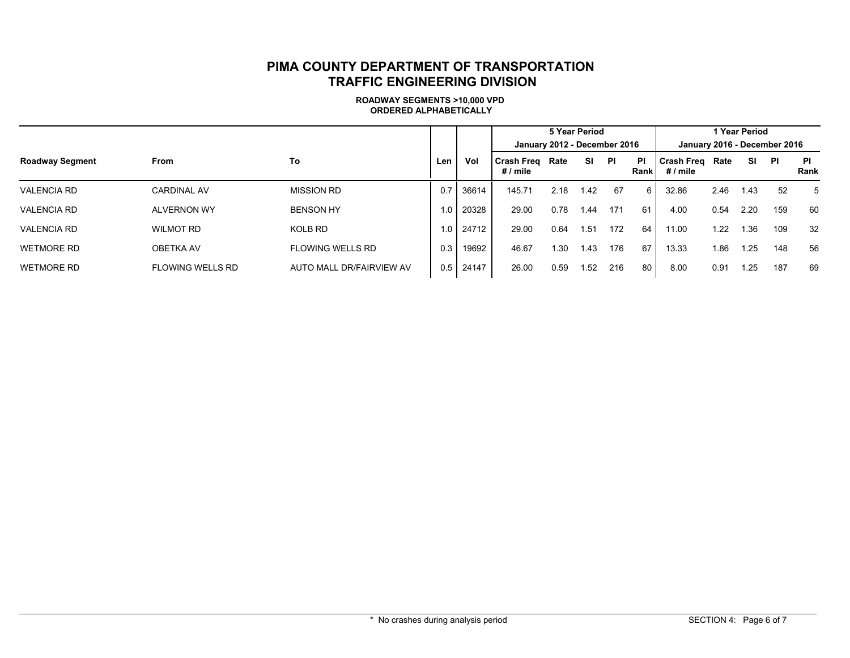|                        |                         |                          |            |       | 5 Year Period                 |      |      |     |            |                               | 1 Year Period |      |                              |            |  |  |  |
|------------------------|-------------------------|--------------------------|------------|-------|-------------------------------|------|------|-----|------------|-------------------------------|---------------|------|------------------------------|------------|--|--|--|
|                        |                         |                          |            |       | January 2012 - December 2016  |      |      |     |            |                               |               |      | January 2016 - December 2016 |            |  |  |  |
| <b>Roadway Segment</b> | <b>From</b>             | To                       | Len        | Vol   | <b>Crash Freg</b><br># / mile | Rate | SI   | ΡI  | ΡI<br>Rank | <b>Crash Freq</b><br># / mile | Rate          | SI   | PI                           | PI<br>Rank |  |  |  |
| <b>VALENCIA RD</b>     | <b>CARDINAL AV</b>      | <b>MISSION RD</b>        | 0.7        | 36614 | 145.71                        | 2.18 | 1.42 | 67  | 6          | 32.86                         | 2.46          | 1.43 | 52                           | 5          |  |  |  |
| <b>VALENCIA RD</b>     | <b>ALVERNON WY</b>      | <b>BENSON HY</b>         | 0.         | 20328 | 29.00                         | 0.78 | 1.44 | 171 | 61         | 4.00                          | 0.54          | 2.20 | 159                          | 60         |  |  |  |
| <b>VALENCIA RD</b>     | <b>WILMOT RD</b>        | KOLB RD                  | i 0 I      | 24712 | 29.00                         | 0.64 | 1.51 | 172 | 64         | 11.00                         | 1.22          | 1.36 | 109                          | 32         |  |  |  |
| <b>WETMORE RD</b>      | <b>OBETKA AV</b>        | <b>FLOWING WELLS RD</b>  | 0.3        | 19692 | 46.67                         | 1.30 | 1.43 | 176 | 67         | 13.33                         | 1.86          | 1.25 | 148                          | 56         |  |  |  |
| <b>WETMORE RD</b>      | <b>FLOWING WELLS RD</b> | AUTO MALL DR/FAIRVIEW AV | $0.5 \mid$ | 24147 | 26.00                         | 0.59 | 1.52 | 216 | 80         | 8.00                          | 0.91          | 1.25 | 187                          | 69         |  |  |  |